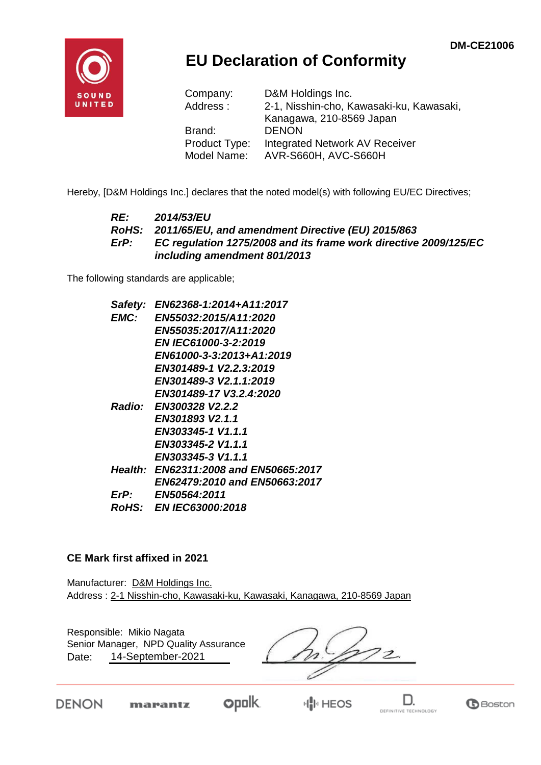

## **EU Declaration of Conformity**

| Company:      | D&M Holdings Inc.                        |
|---------------|------------------------------------------|
| Address:      | 2-1, Nisshin-cho, Kawasaki-ku, Kawasaki, |
|               | Kanagawa, 210-8569 Japan                 |
| Brand:        | <b>DENON</b>                             |
| Product Type: | Integrated Network AV Receiver           |
| Model Name:   | AVR-S660H, AVC-S660H                     |

Hereby, [D&M Holdings Inc.] declares that the noted model(s) with following EU/EC Directives;

#### *RE: 2014/53/EU RoHS: 2011/65/EU, and amendment Directive (EU) 2015/863 ErP: EC regulation 1275/2008 and its frame work directive 2009/125/EC including amendment 801/2013*

The following standards are applicable;

| Safety: | EN62368-1:2014+A11:2017               |
|---------|---------------------------------------|
| EMC:    | <b>EN55032:2015/A11:2020</b>          |
|         | EN55035:2017/A11:2020                 |
|         | <b>EN IEC61000-3-2:2019</b>           |
|         | EN61000-3-3:2013+A1:2019              |
|         | EN301489-1 V2.2.3:2019                |
|         | EN301489-3 V2.1.1:2019                |
|         | EN301489-17 V3.2.4:2020               |
|         | Radio: EN300328 V2.2.2                |
|         | EN301893 V2.1.1                       |
|         | EN303345-1 V1.1.1                     |
|         | EN303345-2 V1.1.1                     |
|         | EN303345-3 V1.1.1                     |
|         | Health: EN62311:2008 and EN50665:2017 |
|         | EN62479:2010 and EN50663:2017         |
| ErP:    | <b>EN50564:2011</b>                   |
|         | <b>RoHS: EN IEC63000:2018</b>         |

#### **CE Mark first affixed in 2021**

Manufacturer: D&M Holdings Inc. Address : 2-1 Nisshin-cho, Kawasaki-ku, Kawasaki, Kanagawa, 210-8569 Japan

Responsible: Mikio Nagata Senior Manager, NPD Quality Assurance $\overline{z}$ 14-September-2021 Date:

**DENON** 



**HIP HEOS**